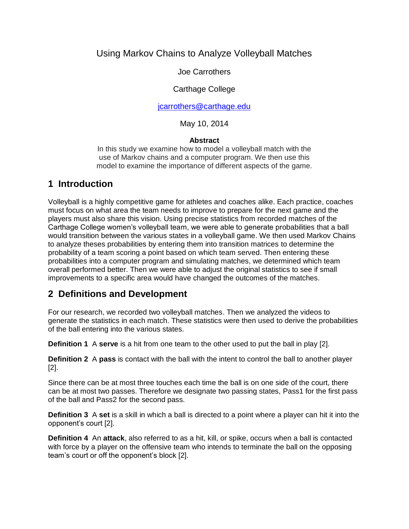## Using Markov Chains to Analyze Volleyball Matches

Joe Carrothers

#### Carthage College

[jcarrothers@carthage.edu](mailto:jcarrothers@carthage.edu)

May 10, 2014

#### **Abstract**

In this study we examine how to model a volleyball match with the use of Markov chains and a computer program. We then use this model to examine the importance of different aspects of the game.

### **1 Introduction**

Volleyball is a highly competitive game for athletes and coaches alike. Each practice, coaches must focus on what area the team needs to improve to prepare for the next game and the players must also share this vision. Using precise statistics from recorded matches of the Carthage College women's volleyball team, we were able to generate probabilities that a ball would transition between the various states in a volleyball game. We then used Markov Chains to analyze theses probabilities by entering them into transition matrices to determine the probability of a team scoring a point based on which team served. Then entering these probabilities into a computer program and simulating matches, we determined which team overall performed better. Then we were able to adjust the original statistics to see if small improvements to a specific area would have changed the outcomes of the matches.

### **2 Definitions and Development**

For our research, we recorded two volleyball matches. Then we analyzed the videos to generate the statistics in each match. These statistics were then used to derive the probabilities of the ball entering into the various states.

**Definition 1** A **serve** is a hit from one team to the other used to put the ball in play [2].

**Definition 2** A **pass** is contact with the ball with the intent to control the ball to another player [2].

Since there can be at most three touches each time the ball is on one side of the court, there can be at most two passes. Therefore we designate two passing states, Pass1 for the first pass of the ball and Pass2 for the second pass.

**Definition 3** A **set** is a skill in which a ball is directed to a point where a player can hit it into the opponent's court [2].

**Definition 4** An **attack**, also referred to as a hit, kill, or spike, occurs when a ball is contacted with force by a player on the offensive team who intends to terminate the ball on the opposing team's court or off the opponent's block [2].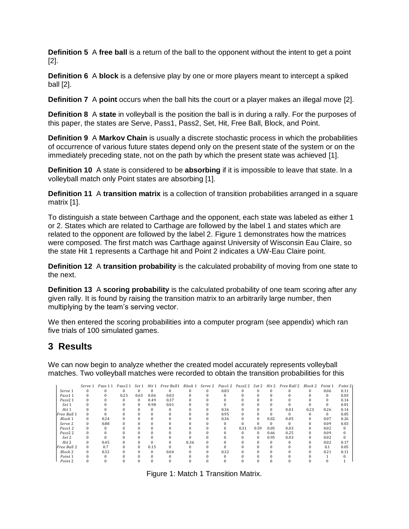**Definition 5** A **free ball** is a return of the ball to the opponent without the intent to get a point [2].

**Definition 6** A **block** is a defensive play by one or more players meant to intercept a spiked ball [2].

**Definition 7** A **point** occurs when the ball hits the court or a player makes an illegal move [2].

**Definition 8** A **state** in volleyball is the position the ball is in during a rally. For the purposes of this paper, the states are Serve, Pass1, Pass2, Set, Hit, Free Ball, Block, and Point.

**Definition 9** A **Markov Chain** is usually a discrete stochastic process in which the probabilities of occurrence of various future states depend only on the present state of the system or on the immediately preceding state, not on the path by which the present state was achieved [1].

**Definition 10** A state is considered to be **absorbing** if it is impossible to leave that state. In a volleyball match only Point states are absorbing [1].

**Definition 11** A **transition matrix** is a collection of transition probabilities arranged in a square matrix [1].

To distinguish a state between Carthage and the opponent, each state was labeled as either 1 or 2. States which are related to Carthage are followed by the label 1 and states which are related to the opponent are followed by the label 2. Figure 1 demonstrates how the matrices were composed. The first match was Carthage against University of Wisconsin Eau Claire, so the state Hit 1 represents a Carthage hit and Point 2 indicates a UW-Eau Claire point.

**Definition 12** A **transition probability** is the calculated probability of moving from one state to the next.

**Definition 13** A **scoring probability** is the calculated probability of one team scoring after any given rally. It is found by raising the transition matrix to an arbitrarily large number, then multiplying by the team's serving vector.

We then entered the scoring probabilities into a computer program (see appendix) which ran five trials of 100 simulated games.

## **3 Results**

We can now begin to analyze whether the created model accurately represents volleyball matches. Two volleyball matches were recorded to obtain the transition probabilities for this

|                    | Serve 1    | Pass 11 | Pass2 1 | Set 1    | Hit 1    | Free Ball1 | Block 1 |          | Serve 2 Pass12 | Pass22 Set 2 |          | Hit 2    | Free Ball 2 | Block 2 | Point 1  | Point 21 |
|--------------------|------------|---------|---------|----------|----------|------------|---------|----------|----------------|--------------|----------|----------|-------------|---------|----------|----------|
| Serve 1            |            |         |         |          |          |            |         |          | 0.83           |              |          |          |             |         | 0.06     | 0.11     |
| Pass11             |            |         | 0.23    | 0.65     | 0.06     | 0.03       |         |          |                |              |          |          |             |         | $\bf{0}$ | 0.03     |
| Pass <sub>21</sub> |            |         | 0       | $\Omega$ | 0.49     | 0.37       |         |          |                |              |          |          |             |         | $\Omega$ | 0.14     |
| Set 1              |            |         |         | $\Omega$ | 0.98     | 0.01       |         |          |                |              |          |          |             |         | 0        | 0.01     |
| Hit 1              |            |         |         |          | 0        |            |         | 0        | 0.36           |              |          | $\Omega$ | 0.01        | 0.23    | 0.26     | 0.14     |
| Free Ball 1        |            |         |         |          |          |            |         |          | 0.95           |              |          |          |             |         | 0        | 0.05     |
| Block 1            | $^{\circ}$ | 0.24    |         |          |          |            |         |          | 0.36           |              | $\Omega$ | 0.02     | 0.05        |         | 0.07     | 0.26     |
| Serve <sub>2</sub> | 0          | 0.88    |         |          | 0        |            |         |          |                |              |          | $\Omega$ | $\Omega$    |         | 0.09     | 0.03     |
| Pass12             |            |         |         |          |          |            |         |          | $\Omega$       | 0.31         | 0.59     | 0.05     | 0.03        |         | 0.02     | $\Omega$ |
| Pass <sub>22</sub> |            |         |         |          |          |            |         |          |                |              | $\Omega$ | 0.66     | 0.25        |         | 0.09     |          |
| Set 2              |            |         |         |          |          |            |         |          |                |              | $\Omega$ | 0.95     | 0.03        |         | 0.02     |          |
| Hit 2              |            | 0.45    |         |          |          |            | 0.36    |          |                |              |          |          |             |         | 0.02     | 0.17     |
| Free Ball 2        | 0          | 0.7     |         | $\Omega$ | 0.15     |            |         |          |                |              |          |          |             |         | 0.1      | 0.05     |
| Block 2            | 0          | 0.32    |         | 0        | $\Omega$ | 0.04       |         | $\Omega$ | 0.32           |              |          |          |             |         | 0.21     | 0.11     |
| Point <sub>1</sub> |            |         |         |          |          |            |         |          |                |              |          |          |             |         |          |          |
| Point 2            |            |         |         |          |          |            |         |          |                |              |          |          |             |         |          |          |

Figure 1: Match 1 Transition Matrix.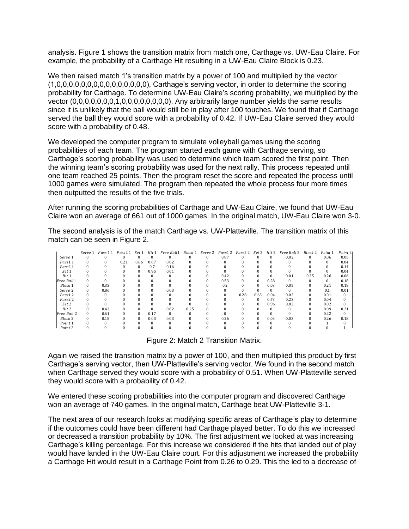analysis. Figure 1 shows the transition matrix from match one, Carthage vs. UW-Eau Claire. For example, the probability of a Carthage Hit resulting in a UW-Eau Claire Block is 0.23.

We then raised match 1's transition matrix by a power of 100 and multiplied by the vector (1,0,0,0,0,0,0,0,0,0,0,0,0,0,0,0), Carthage's serving vector, in order to determine the scoring probability for Carthage. To determine UW-Eau Claire's scoring probability, we multiplied by the vector (0,0,0,0,0,0,0,1,0,0,0,0,0,0,0,0). Any arbitrarily large number yields the same results since it is unlikely that the ball would still be in play after 100 touches. We found that if Carthage served the ball they would score with a probability of 0.42. If UW-Eau Claire served they would score with a probability of 0.48.

We developed the computer program to simulate volleyball games using the scoring probabilities of each team. The program started each game with Carthage serving, so Carthage's scoring probability was used to determine which team scored the first point. Then the winning team's scoring probability was used for the next rally. This process repeated until one team reached 25 points. Then the program reset the score and repeated the process until 1000 games were simulated. The program then repeated the whole process four more times then outputted the results of the five trials.

After running the scoring probabilities of Carthage and UW-Eau Claire, we found that UW-Eau Claire won an average of 661 out of 1000 games. In the original match, UW-Eau Claire won 3-0.

The second analysis is of the match Carthage vs. UW-Platteville. The transition matrix of this match can be seen in Figure 2.

|                     | Serve 1  | Pass 11 | Pass <sub>21</sub> | Set 1    | Hit 1        | Free Ball1 | Block 1 | Serve <sub>2</sub> | Pass12 | Pass2 2 | Set 2        | Hit 2 | Free Ball 2 | Block 2 | Point 1 | Point 21 |
|---------------------|----------|---------|--------------------|----------|--------------|------------|---------|--------------------|--------|---------|--------------|-------|-------------|---------|---------|----------|
| Serve 1             |          |         |                    |          |              |            |         |                    | 0.87   |         |              | 0     | 0.02        | 0       | 0.06    | 0.05     |
| Pass11              |          |         | 0.21               | 0.66     | 0.07         | 0.02       |         |                    | O      |         |              |       |             |         | 0       | 0.04     |
| Pass <sub>21</sub>  |          |         |                    | 0        | 0.7          | 0.16       |         |                    |        |         |              |       |             |         |         | 0.14     |
| Set 1               |          |         |                    | 0        | 0.95         | 0.01       |         |                    |        |         |              |       |             |         |         | 0.04     |
| Hit 1               |          |         |                    |          |              |            |         |                    | 0.42   |         |              | 0     | 0.01        | 0.25    | 0.26    | 0.06     |
| Free Ball 1         |          |         |                    |          |              |            |         |                    | 0.53   |         | 0            | 0.28  | $\Omega$    |         |         | 0.18     |
| Block 1             | 0        | 0.33    |                    |          | $\mathbf{U}$ |            |         |                    | 0.2    |         | $\mathbf{0}$ | 0.03  | 0.05        | 0       | 0.21    | 0.18     |
| Serve <sub>2</sub>  | 0        | 0.86    |                    |          | 0            | 0.03       |         |                    |        |         | <sup>0</sup> | 0     | $\Omega$    |         | 0.1     | 0.01     |
| Pass12              |          |         |                    |          |              |            |         |                    |        | 0.28    | 0.65         | 0.04  | 0.02        |         | 0.01    | $\Omega$ |
| Pass <sub>2</sub> 2 |          |         |                    |          |              |            |         |                    |        |         | $\Omega$     | 0.73  | 0.23        |         | 0.04    | $\Omega$ |
| Set 2               |          |         |                    |          |              |            |         |                    |        |         | $\mathbf{0}$ | 0.96  | 0.02        |         | 0.02    | $\Omega$ |
| Hit 2               |          | 0.43    |                    |          | 0            | 0.02       | 0.25    |                    |        |         |              | 0     |             |         | 0.09    | 0.21     |
| Free Ball 2         | $\Omega$ | 0.61    |                    | 0        | 0.17         | $\Omega$   |         |                    |        |         |              |       |             |         | 0.22    | $\Omega$ |
| Block 2             | 0        | 0.18    | $\Omega$           | $\Omega$ | 0.03         | 0.03       |         |                    | 0.26   |         | $\Omega$     | 0.03  | 0.03        |         | 0.26    | 0.18     |
| Point 1             |          |         |                    |          |              |            |         |                    |        |         |              |       |             |         |         |          |
| Point 2             |          |         |                    |          |              |            |         |                    |        |         |              |       |             |         |         |          |

Figure 2: Match 2 Transition Matrix.

Again we raised the transition matrix by a power of 100, and then multiplied this product by first Carthage's serving vector, then UW-Platteville's serving vector. We found in the second match when Carthage served they would score with a probability of 0.51. When UW-Platteville served they would score with a probability of 0.42.

We entered these scoring probabilities into the computer program and discovered Carthage won an average of 740 games. In the original match, Carthage beat UW-Platteville 3-1.

The next area of our research looks at modifying specific areas of Carthage's play to determine if the outcomes could have been different had Carthage played better. To do this we increased or decreased a transition probability by 10%. The first adjustment we looked at was increasing Carthage's killing percentage. For this increase we considered if the hits that landed out of play would have landed in the UW-Eau Claire court. For this adjustment we increased the probability a Carthage Hit would result in a Carthage Point from 0.26 to 0.29. This the led to a decrease of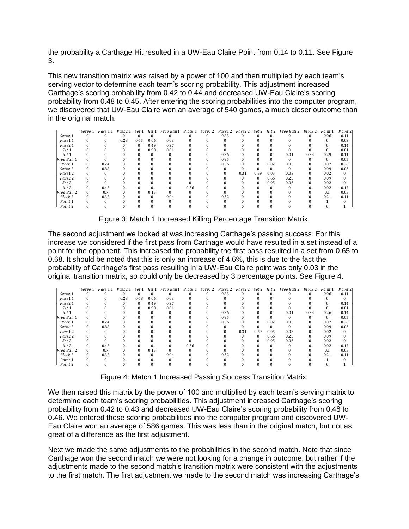the probability a Carthage Hit resulted in a UW-Eau Claire Point from 0.14 to 0.11. See Figure 3.

This new transition matrix was raised by a power of 100 and then multiplied by each team's serving vector to determine each team's scoring probability. This adjustment increased Carthage's scoring probability from 0.42 to 0.44 and decreased UW-Eau Claire's scoring probability from 0.48 to 0.45. After entering the scoring probabilities into the computer program, we discovered that UW-Eau Claire won an average of 540 games, a much closer outcome than in the original match.

|                    | Serve 1 | Pass 11 | Pass <sub>21</sub> | Set 1    | Hit 1 | Free Ball1 | Block 1 | Serve 2 | Pass12 | Pass2 2 | Set 2    | Hit 2 | Free Ball 2 | Block 2 | Point 1  | Point 21 |
|--------------------|---------|---------|--------------------|----------|-------|------------|---------|---------|--------|---------|----------|-------|-------------|---------|----------|----------|
| Serve 1            |         |         | 0                  |          |       |            |         |         | 0.83   |         | 0        |       |             |         | 0.06     | 0.11     |
| Pass11             |         |         | 0.23               | 0.65     | 0.06  | 0.03       |         |         |        |         |          |       |             |         |          | 0.03     |
| Pass2 1            |         |         |                    | $\Omega$ | 0.49  | 0.37       |         |         |        |         |          |       |             |         |          | 0.14     |
| Set 1              |         |         |                    | 0        | 0.98  | 0.01       |         |         |        |         |          |       |             |         |          | 0.01     |
| Hit 1              |         |         |                    |          |       |            |         |         | 0.36   |         |          |       | 0.01        | 0.23    | 0.29     | 0.11     |
| Free Ball 1        |         |         |                    |          |       |            |         |         | 0.95   |         |          |       |             |         | $\Omega$ | 0.05     |
| Block 1            |         | 0.24    |                    |          |       |            |         |         | 0.36   |         | $\Omega$ | 0.02  | 0.05        |         | 0.07     | 0.26     |
| Serve <sub>2</sub> |         | 0.88    |                    |          |       |            |         |         |        |         |          |       |             |         | 0.09     | 0.03     |
| Pass12             |         |         |                    |          |       |            |         |         |        | 0.31    | 0.59     | 0.05  | 0.03        |         | 0.02     | 0        |
| Pass22             |         |         |                    |          |       |            |         |         |        |         | 0        | 0.66  | 0.25        |         | 0.09     | 0        |
| Set 2              |         |         |                    |          |       |            |         |         |        |         | $\Omega$ | 0.95  | 0.03        | 0       | 0.02     | $\Omega$ |
| Hit 2              |         | 0.45    |                    |          |       |            | 0.36    |         |        |         |          |       |             |         | 0.02     | 0.17     |
| Free Ball 2        |         | 0.7     |                    |          | 0.15  |            |         |         |        |         |          |       |             |         | 0.1      | 0.05     |
| <b>Block 2</b>     |         | 0.32    |                    |          |       | 0.04       |         |         | 0.32   |         |          |       |             |         | 0.21     | 0.11     |
| Point 1            |         |         |                    |          |       |            |         |         |        |         |          |       |             |         |          |          |
| Point 2            |         |         |                    |          |       |            |         |         |        |         |          |       |             |         |          |          |

Figure 3: Match 1 Increased Killing Percentage Transition Matrix.

The second adjustment we looked at was increasing Carthage's passing success. For this increase we considered if the first pass from Carthage would have resulted in a set instead of a point for the opponent. This increased the probability the first pass resulted in a set from 0.65 to 0.68. It should be noted that this is only an increase of 4.6%, this is due to the fact the probability of Carthage's first pass resulting in a UW-Eau Claire point was only 0.03 in the original transition matrix, so could only be decreased by 3 percentage points. See Figure 4.

|                     | Serve 1  | Pass 11 | Pass <sub>21</sub> | Set 1        | Hit 1    | Free Ball1 | Block 1 | Serve <sub>2</sub> | Pass12 | Pass2 2 | Set 2    | Hit 2    | Free Ball 2 | <b>Block 2</b> | Point 1  | Point 21 |
|---------------------|----------|---------|--------------------|--------------|----------|------------|---------|--------------------|--------|---------|----------|----------|-------------|----------------|----------|----------|
| Serve 1             |          |         |                    |              | 0        |            |         |                    | 0.83   |         |          |          |             |                | 0.06     | 0.11     |
| Pass11              |          |         | 0.23               | 0.68         | 0.06     | 0.03       |         |                    |        |         |          |          |             |                |          |          |
| Pass <sub>21</sub>  |          |         |                    | $\mathbf{0}$ | 0.49     | 0.37       |         |                    |        |         |          |          |             |                |          | 0.14     |
| Set 1               |          |         |                    | $\mathbf{0}$ | 0.98     | 0.01       |         |                    |        |         |          |          |             |                |          | 0.01     |
| Hit 1               |          |         |                    |              | $\Omega$ | $\Omega$   |         | 0                  | 0.36   |         | $\Omega$ | 0        | 0.01        | 0.23           | 0.26     | 0.14     |
| Free Ball 1         |          |         |                    |              |          |            |         |                    | 0.95   |         | $\Omega$ |          | $\Omega$    |                | $\Omega$ | 0.05     |
| Block 1             | 0        | 0.24    |                    |              |          |            |         |                    | 0.36   |         | $\Omega$ | 0.02     | 0.05        |                | 0.07     | 0.26     |
| Serve <sub>2</sub>  | 0        | 0.88    |                    |              |          |            |         |                    |        |         |          | 0        | 0           |                | 0.09     | 0.03     |
| Pass12              |          |         |                    |              |          |            |         |                    |        | 0.31    | 0.59     | 0.05     | 0.03        |                | 0.02     | $\Omega$ |
| Pass <sub>2</sub> 2 |          |         |                    |              |          |            |         |                    |        |         | $\Omega$ | 0.66     | 0.25        | $\Omega$       | 0.09     | $\Omega$ |
| Set 2               |          |         |                    |              |          |            |         |                    |        |         | $\Omega$ | 0.95     | 0.03        | $\Omega$       | 0.02     | $\bf{0}$ |
| Hit 2               | 0        | 0.45    |                    |              | 0        |            | 0.36    |                    |        |         | $\Omega$ | $\Omega$ |             |                | 0.02     | 0.17     |
| Free Ball 2         | $\Omega$ | 0.7     |                    | $\Omega$     | 0.15     | $\Omega$   |         |                    |        |         |          |          |             |                | 0.1      | 0.05     |
| <b>Block 2</b>      | 0        | 0.32    |                    |              | $\Omega$ | 0.04       |         |                    | 0.32   |         |          | n        |             |                | 0.21     | 0.11     |
| Point 1             |          |         |                    |              |          |            |         |                    |        |         |          |          |             |                |          |          |
| Point 2             |          | O       |                    |              |          |            |         |                    |        |         |          |          |             |                |          |          |

Figure 4: Match 1 Increased Passing Success Transition Matrix.

We then raised this matrix by the power of 100 and multiplied by each team's serving matrix to determine each team's scoring probabilities. This adjustment increased Carthage's scoring probability from 0.42 to 0.43 and decreased UW-Eau Claire's scoring probability from 0.48 to 0.46. We entered these scoring probabilities into the computer program and discovered UW-Eau Claire won an average of 586 games. This was less than in the original match, but not as great of a difference as the first adjustment.

Next we made the same adjustments to the probabilities in the second match. Note that since Carthage won the second match we were not looking for a change in outcome, but rather if the adjustments made to the second match's transition matrix were consistent with the adjustments to the first match. The first adjustment we made to the second match was increasing Carthage's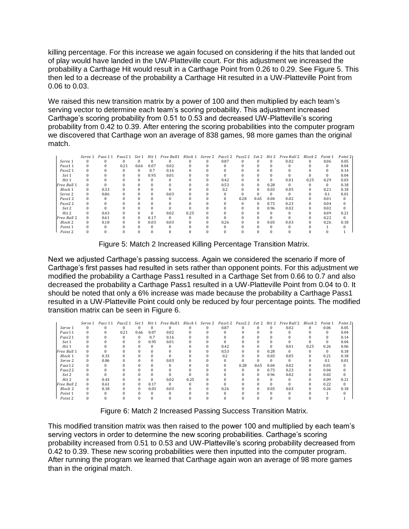killing percentage. For this increase we again focused on considering if the hits that landed out of play would have landed in the UW-Platteville court. For this adjustment we increased the probability a Carthage Hit would result in a Carthage Point from 0.26 to 0.29. See Figure 5. This then led to a decrease of the probability a Carthage Hit resulted in a UW-Platteville Point from 0.06 to 0.03.

We raised this new transition matrix by a power of 100 and then multiplied by each team's serving vector to determine each team's scoring probability. This adjustment increased Carthage's scoring probability from 0.51 to 0.53 and decreased UW-Platteville's scoring probability from 0.42 to 0.39. After entering the scoring probabilities into the computer program we discovered that Carthage won an average of 838 games, 98 more games than the original match.

|                     | Serve 1  | Pass 11  | Pass2 1 Set 1 |          | Hit 1 | Free Ball1 | Block 1 | Serve <sub>2</sub> | Pass12 | Pass2 2 Set 2 Hit 2 |          |      | Free Ball 2 | Block 2 | Point 1  | Point 21 |
|---------------------|----------|----------|---------------|----------|-------|------------|---------|--------------------|--------|---------------------|----------|------|-------------|---------|----------|----------|
| Serve 1             | $\Omega$ | $\Omega$ | $\Omega$      |          |       |            |         | $\Omega$           | 0.87   |                     |          |      | 0.02        |         | 0.06     | 0.05     |
| Pass11              | 0        | 0        | 0.21          | 0.66     | 0.07  | 0.02       |         |                    |        |                     |          |      |             |         |          | 0.04     |
| Pass <sub>21</sub>  |          |          | 0             |          | 0.7   | 0.16       |         |                    |        |                     |          |      |             |         |          | 0.14     |
| Set 1               |          |          |               |          | 0.95  | 0.01       |         |                    |        |                     |          |      |             |         |          | 0.04     |
| Hit 1               |          |          |               |          |       |            |         | 0                  | 0.42   |                     |          |      | 0.01        | 0.25    | 0.29     | 0.03     |
| Free Ball 1         | 0        |          |               |          |       |            |         | 0                  | 0.53   |                     | $\Omega$ | 0.28 | $\Omega$    |         | $\Omega$ | 0.18     |
| Block 1             | $\Omega$ | 0.33     |               |          |       |            |         |                    | 0.2    |                     | $\Omega$ | 0.03 | 0.05        |         | 0.21     | 0.18     |
| Serve <sub>2</sub>  | $\Omega$ | 0.86     |               |          |       | 0.03       |         |                    |        |                     |          |      | $\Omega$    |         | 0.1      | 0.01     |
| Pass12              | 0        |          |               |          |       |            |         |                    |        | 0.28                | 0.65     | 0.04 | 0.02        |         | 0.01     | $\Omega$ |
| Pass <sub>2</sub> 2 |          |          |               |          |       |            |         |                    |        |                     | $\Omega$ | 0.73 | 0.23        |         | 0.04     | 0        |
| Set 2               |          |          |               |          |       |            |         |                    |        |                     | $\Omega$ | 0.96 | 0.02        |         | 0.02     | 0        |
| Hit 2               | 0        | 0.43     |               |          | 0     | 0.02       | 0.25    |                    |        |                     |          |      |             |         | 0.09     | 0.21     |
| Free Ball 2         | $\Omega$ | 0.61     |               | $\Omega$ | 0.17  | $^{\circ}$ |         |                    |        |                     |          |      |             |         | 0.22     | $\Omega$ |
| Block 2             | $\Omega$ | 0.18     | 0             | $\Omega$ | 0.03  | 0.03       |         | $\Omega$           | 0.26   |                     | $\Omega$ | 0.03 | 0.03        |         | 0.26     | 0.18     |
| Point 1             |          | $\Omega$ |               |          |       |            |         |                    |        |                     |          |      |             |         |          |          |
| Point 2             |          | $\Omega$ |               |          |       |            |         |                    |        |                     |          |      |             |         |          |          |

Figure 5: Match 2 Increased Killing Percentage Transition Matrix.

Next we adjusted Carthage's passing success. Again we considered the scenario if more of Carthage's first passes had resulted in sets rather than opponent points. For this adjustment we modified the probability a Carthage Pass1 resulted in a Carthage Set from 0.66 to 0.7 and also decreased the probability a Carthage Pass1 resulted in a UW-Platteville Point from 0.04 to 0. It should be noted that only a 6% increase was made because the probability a Carthage Pass1 resulted in a UW-Platteville Point could only be reduced by four percentage points. The modified transition matrix can be seen in Figure 6.

|                    | Serve 1 | Pass 11  | Pass21   | Set 1        | Hit 1    | Free Ball1 | Block 1 | Serve 2 | Pass12 | Pass2 2 | Set 2    | Hit 2    | Free Ball 2 | Block 2 | Point 1      | Point 21 |
|--------------------|---------|----------|----------|--------------|----------|------------|---------|---------|--------|---------|----------|----------|-------------|---------|--------------|----------|
| Serve 1            |         |          |          |              |          |            |         |         | 0.87   |         |          | 0        | 0.02        |         | 0.06         | 0.05     |
| Pass11             |         | $\Omega$ | 0.21     | 0.66         | 0.07     | 0.02       |         |         |        |         |          | $\Omega$ |             |         | $\mathbf{0}$ | 0.04     |
| Pass <sub>21</sub> |         |          | $\Omega$ | $\mathbf{0}$ | 0.7      | 0.16       |         |         |        |         |          |          |             |         | $\mathbf{0}$ | 0.14     |
| Set 1              |         |          |          | $\Omega$     | 0.95     | 0.01       |         |         |        |         |          |          |             |         | $\Omega$     | 0.04     |
| Hit 1              |         |          |          |              | 0        |            |         |         | 0.42   |         |          | $\Omega$ | 0.01        | 0.25    | 0.26         | 0.06     |
| Free Ball 1        |         |          |          |              |          |            |         |         | 0.53   |         | $\Omega$ | 0.28     |             |         | $\Omega$     | 0.18     |
| Block 1            |         | 0.33     |          |              |          |            |         |         | 0.2    |         | $\Omega$ | 0.03     | 0.05        |         | 0.21         | 0.18     |
| Serve <sub>2</sub> | 0       | 0.86     |          |              | $\Omega$ | 0.03       |         |         |        |         |          | $\Omega$ |             |         | 0.1          | 0.01     |
| Pass12             |         |          |          |              |          |            |         |         |        | 0.28    | 0.65     | 0.04     | 0.02        |         | 0.01         | $\Omega$ |
| Pass <sub>22</sub> |         |          |          |              |          |            |         |         |        |         | $\Omega$ | 0.73     | 0.23        | 0       | 0.04         | $\Omega$ |
| Set 2              |         |          |          |              |          |            |         |         |        |         | $\Omega$ | 0.96     | 0.02        |         | 0.02         | $\Omega$ |
| Hit 2              |         | 0.43     |          |              | $\Omega$ | 0.02       | 0.25    |         |        |         |          | $\Omega$ |             |         | 0.09         | 0.21     |
| Free Ball 2        | 0       | 0.61     |          |              | 0.17     |            |         |         |        |         |          |          |             |         | 0.22         | $\Omega$ |
| Block 2            | 0       | 0.18     |          | $\Omega$     | 0.03     | 0.03       |         |         | 0.26   |         | $\bf{0}$ | 0.03     | 0.03        |         | 0.26         | 0.18     |
| Point 1            |         |          |          |              | $\Omega$ |            |         |         |        |         |          | $\Omega$ |             |         |              |          |
| Point 2            |         |          |          |              |          |            |         |         |        |         |          | C        |             |         |              |          |

Figure 6: Match 2 Increased Passing Success Transition Matrix.

This modified transition matrix was then raised to the power 100 and multiplied by each team's serving vectors in order to determine the new scoring probabilities. Carthage's scoring probability increased from 0.51 to 0.53 and UW-Platteville's scoring probability decreased from 0.42 to 0.39. These new scoring probabilities were then inputted into the computer program. After running the program we learned that Carthage again won an average of 98 more games than in the original match.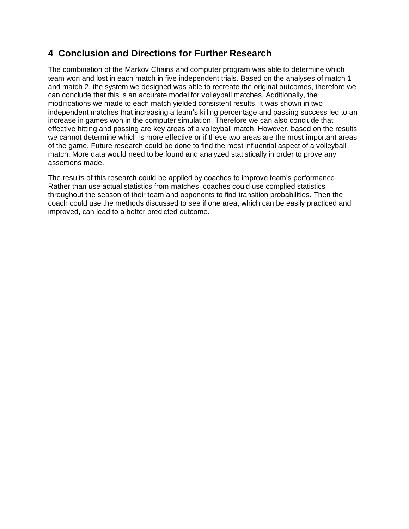## **4 Conclusion and Directions for Further Research**

The combination of the Markov Chains and computer program was able to determine which team won and lost in each match in five independent trials. Based on the analyses of match 1 and match 2, the system we designed was able to recreate the original outcomes, therefore we can conclude that this is an accurate model for volleyball matches. Additionally, the modifications we made to each match yielded consistent results. It was shown in two independent matches that increasing a team's killing percentage and passing success led to an increase in games won in the computer simulation. Therefore we can also conclude that effective hitting and passing are key areas of a volleyball match. However, based on the results we cannot determine which is more effective or if these two areas are the most important areas of the game. Future research could be done to find the most influential aspect of a volleyball match. More data would need to be found and analyzed statistically in order to prove any assertions made.

The results of this research could be applied by coaches to improve team's performance. Rather than use actual statistics from matches, coaches could use complied statistics throughout the season of their team and opponents to find transition probabilities. Then the coach could use the methods discussed to see if one area, which can be easily practiced and improved, can lead to a better predicted outcome.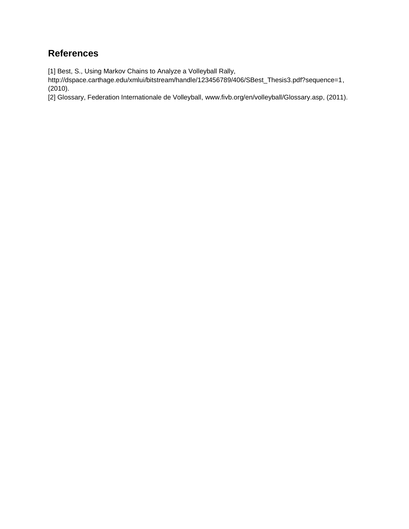# **References**

[1] Best, S., Using Markov Chains to Analyze a Volleyball Rally,

http://dspace.carthage.edu/xmlui/bitstream/handle/123456789/406/SBest\_Thesis3.pdf?sequence=1, (2010).

[2] Glossary, Federation Internationale de Volleyball, www.fivb.org/en/volleyball/Glossary.asp, (2011).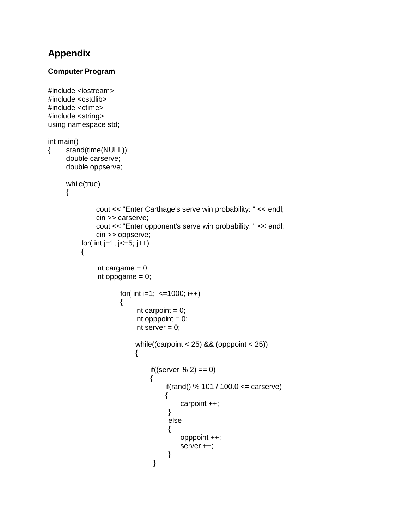# **Appendix**

#### **Computer Program**

```
#include <iostream>
#include <cstdlib>
#include <ctime>
#include <string>
using namespace std;
int main()
{ srand(time(NULL));
     double carserve;
     double oppserve;
     while(true)
     {
               cout << "Enter Carthage's serve win probability: " << endl;
               cin >> carserve;
               cout << "Enter opponent's serve win probability: " << endl;
               cin >> oppserve;
          for( int j=1; j <= 5; j + +)
          {
               int cargame = 0;
               int oppgame = 0;
                      for( int i=1; i=1000; i++)
                      {
                           int carpoint = 0;
                           int opppoint = 0;
                           int server = 0;
                           while((carpoint < 25) && (opppoint < 25))
                           {
                                if((server % 2) == 0)
                               {
                                    if(rand() % 101 / 100.0 \leq carserve)
                                    {
                                         carpoint ++;
                                     }
                                     else
                                     {
                                         opppoint ++;
                                         server ++;
                                     }
                                }
```